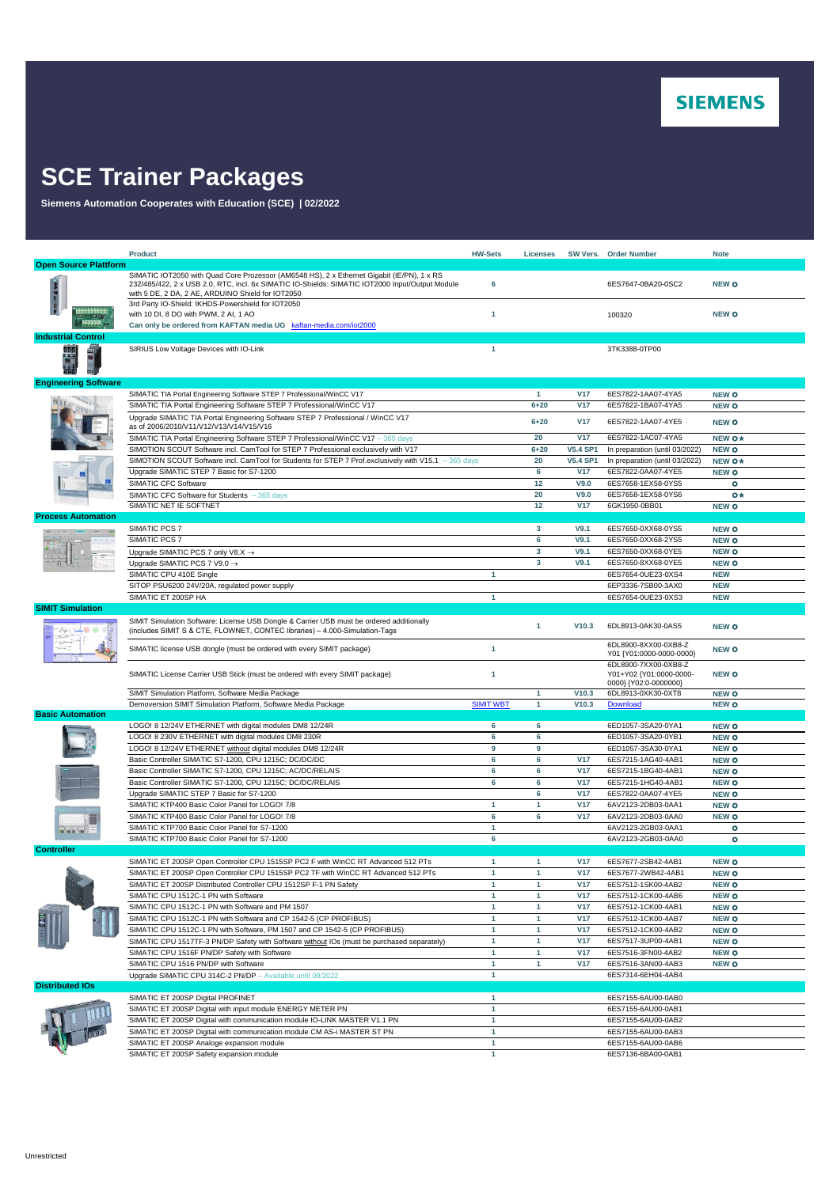

## **SCE Trainer Packages**

**Siemens Automation Cooperates with Education (SCE) | 02/2022**

|                              | <b>Product</b>                                                                                                                                                                                                                                     | <b>HW-Sets</b>   | Licenses                |                 | SW Vers. Order Number                                                    | <b>Note</b>                  |
|------------------------------|----------------------------------------------------------------------------------------------------------------------------------------------------------------------------------------------------------------------------------------------------|------------------|-------------------------|-----------------|--------------------------------------------------------------------------|------------------------------|
| <b>Open Source Plattform</b> |                                                                                                                                                                                                                                                    |                  |                         |                 |                                                                          |                              |
|                              | SIMATIC IOT2050 with Quad Core Prozessor (AM6548 HS), 2 x Ethernet Gigabit (IE/PN), 1 x RS<br>232/485/422, 2 x USB 2.0, RTC, incl. 6x SIMATIC IO-Shields: SIMATIC IOT2000 Input/Output Module<br>with 5 DE, 2 DA, 2 AE, ARDUINO Shield for IOT2050 | 6                |                         |                 | 6ES7647-0BA20-0SC2                                                       | <b>NEW O</b>                 |
|                              | 3rd Party IO-Shield: IKHDS-Powershield for IOT2050<br>with 10 DI, 8 DO with PWM, 2 AI, 1 AO<br>Can only be ordered from KAFTAN media UG kaftan-media.com/iot2000                                                                                   | 1                |                         |                 | 100320                                                                   | <b>NEW O</b>                 |
| <b>Industrial Control</b>    |                                                                                                                                                                                                                                                    |                  |                         |                 |                                                                          |                              |
|                              | SIRIUS Low Voltage Devices with IO-Link                                                                                                                                                                                                            | $\mathbf{1}$     |                         |                 | 3TK3388-0TP00                                                            |                              |
| <b>Engineering Software</b>  |                                                                                                                                                                                                                                                    |                  |                         |                 |                                                                          |                              |
|                              | SIMATIC TIA Portal Engineering Software STEP 7 Professional/WinCC V17                                                                                                                                                                              |                  | $\blacktriangleleft$    | <b>V17</b>      | 6ES7822-1AA07-4YA5                                                       | <b>NEW O</b>                 |
|                              | SIMATIC TIA Portal Engineering Software STEP 7 Professional/WinCC V17                                                                                                                                                                              |                  | $6 + 20$                | <b>V17</b>      | 6ES7822-1BA07-4YA5                                                       | <b>NEW O</b>                 |
|                              | Upgrade SIMATIC TIA Portal Engineering Software STEP 7 Professional / WinCC V17<br>as of 2006/2010/V11/V12/V13/V14/V15/V16                                                                                                                         |                  | $6 + 20$                | <b>V17</b>      | 6ES7822-1AA07-4YE5                                                       | <b>NEW O</b>                 |
|                              | SIMATIC TIA Portal Engineering Software STEP 7 Professional/WinCC V17 - 365 days                                                                                                                                                                   |                  | 20                      | <b>V17</b>      | 6ES7822-1AC07-4YA5                                                       | NEW O*                       |
|                              | SIMOTION SCOUT Software incl. CamTool for STEP 7 Professional exclusively with V17                                                                                                                                                                 |                  | $6 + 20$                | <b>V5.4 SP1</b> | In preparation (until 03/2022)                                           | <b>NEW O</b>                 |
|                              | SIMOTION SCOUT Software incl. CamTool for Students for STEP 7 Prof.exclusively with V15.1 - 365 days                                                                                                                                               |                  | 20                      | <b>V5.4 SP1</b> | In preparation (until 03/2022)                                           | NEW O*                       |
|                              | Upgrade SIMATIC STEP 7 Basic for S7-1200                                                                                                                                                                                                           |                  | 6                       | <b>V17</b>      | 6ES7822-0AA07-4YE5                                                       | <b>NEW O</b>                 |
|                              | SIMATIC CFC Software                                                                                                                                                                                                                               |                  | 12                      | V9.0            | 6ES7658-1EX58-0YS5                                                       | $\bullet$                    |
|                              | SIMATIC CFC Software for Students - 365 days                                                                                                                                                                                                       |                  | 20                      | V9.0            | 6ES7658-1EX58-0YS6                                                       | $o\star$                     |
|                              | SIMATIC NET IE SOFTNET                                                                                                                                                                                                                             |                  | 12                      | <b>V17</b>      | 6GK1950-0BB01                                                            | <b>NEW O</b>                 |
| <b>Process Automation</b>    |                                                                                                                                                                                                                                                    |                  |                         |                 |                                                                          |                              |
|                              | SIMATIC PCS 7                                                                                                                                                                                                                                      |                  | $\overline{\mathbf{3}}$ | V9.1            | 6ES7650-0XX68-0YS5                                                       | <b>NEW O</b>                 |
|                              | SIMATIC PCS 7                                                                                                                                                                                                                                      |                  | 6                       | V9.1            | 6ES7650-0XX68-2YS5                                                       | <b>NEW O</b>                 |
|                              | Upgrade SIMATIC PCS 7 only V8.X $\rightarrow$                                                                                                                                                                                                      |                  | 3                       | V9.1            | 6ES7650-0XX68-0YE5                                                       | <b>NEW O</b>                 |
|                              | Upgrade SIMATIC PCS 7 V9.0 →                                                                                                                                                                                                                       |                  | 3                       | V9.1            | 6ES7650-8XX68-0YE5                                                       | <b>NEW O</b>                 |
|                              | SIMATIC CPU 410E Single                                                                                                                                                                                                                            | $\mathbf{1}$     |                         |                 | 6ES7654-0UE23-0XS4                                                       | <b>NEW</b>                   |
|                              | SITOP PSU6200 24V/20A, regulated power supply                                                                                                                                                                                                      |                  |                         |                 | 6EP3336-7SB00-3AX0                                                       | <b>NEW</b>                   |
|                              | SIMATIC ET 200SP HA                                                                                                                                                                                                                                | 1                |                         |                 | 6ES7654-0UE23-0XS3                                                       | <b>NEW</b>                   |
| <b>SIMIT Simulation</b>      | SIMIT Simulation Software: License USB Dongle & Carrier USB must be ordered additionally<br>(includes SIMIT S & CTE, FLOWNET, CONTEC libraries) - 4.000-Simulation-Tags                                                                            |                  | 1                       | V10.3           | 6DL8913-0AK30-0AS5                                                       | <b>NEW O</b>                 |
|                              | SIMATIC license USB dongle (must be ordered with every SIMIT package)                                                                                                                                                                              | 1                |                         |                 | 6DL8900-8XX00-0XB8-Z<br>Y01 {Y01:0000-0000-0000}                         | <b>NEW O</b>                 |
|                              | SIMATIC License Carrier USB Stick (must be ordered with every SIMIT package)                                                                                                                                                                       | 1                |                         |                 | 6DL8900-7XX00-0XB8-Z<br>Y01+Y02 {Y01:0000-0000-<br>0000} {Y02:0-0000000} | <b>NEW O</b>                 |
|                              | SIMIT Simulation Platform, Software Media Package                                                                                                                                                                                                  |                  | $\mathbf{1}$            | V10.3           | 6DL8913-0XK30-0XT8                                                       | <b>NEW O</b>                 |
|                              | Demoversion SIMIT Simulation Platform, Software Media Package                                                                                                                                                                                      | <b>SIMIT WBT</b> | 1                       | V10.3           | Download                                                                 | <b>NEW O</b>                 |
| <b>Basic Automation</b>      |                                                                                                                                                                                                                                                    |                  |                         |                 |                                                                          |                              |
|                              | LOGO! 8 12/24V ETHERNET with digital modules DM8 12/24R                                                                                                                                                                                            | 6                | 6                       |                 | 6ED1057-3SA20-0YA1                                                       | <b>NEW O</b>                 |
|                              | LOGO! 8 230V ETHERNET with digital modules DM8 230R                                                                                                                                                                                                | 6                | 6                       |                 | 6ED1057-3SA20-0YB1                                                       | <b>NEW O</b>                 |
|                              | LOGO! 8 12/24V ETHERNET without digital modules DM8 12/24R<br>Basic Controller SIMATIC S7-1200, CPU 1215C; DC/DC/DC                                                                                                                                | 9<br>6           | 9<br>6                  | <b>V17</b>      | 6ED1057-3SA30-0YA1                                                       | <b>NEW O</b>                 |
|                              | Basic Controller SIMATIC S7-1200, CPU 1215C; AC/DC/RELAIS                                                                                                                                                                                          | 6                | 6                       | <b>V17</b>      | 6ES7215-1AG40-4AB1<br>6ES7215-1BG40-4AB1                                 | <b>NEW O</b><br><b>NEW O</b> |
|                              | Basic Controller SIMATIC S7-1200, CPU 1215C; DC/DC/RELAIS                                                                                                                                                                                          | 6                | 6                       | <b>V17</b>      | 6ES7215-1HG40-4AB1                                                       | <b>NEW O</b>                 |
|                              | Upgrade SIMATIC STEP 7 Basic for S7-1200                                                                                                                                                                                                           |                  | 6                       | <b>V17</b>      | 6ES7822-0AA07-4YE5                                                       | <b>NEW O</b>                 |
|                              | SIMATIC KTP400 Basic Color Panel for LOGO! 7/8                                                                                                                                                                                                     | 1                | $\mathbf{1}$            | <b>V17</b>      | 6AV2123-2DB03-0AA1                                                       | <b>NEW O</b>                 |
|                              | SIMATIC KTP400 Basic Color Panel for LOGO! 7/8                                                                                                                                                                                                     | 6                | 6                       | <b>V17</b>      | 6AV2123-2DB03-0AA0                                                       | <b>NEW O</b>                 |
|                              | SIMATIC KTP700 Basic Color Panel for S7-1200                                                                                                                                                                                                       | $\mathbf{1}$     |                         |                 | 6AV2123-2GB03-0AA1                                                       | ۰                            |
|                              | SIMATIC KTP700 Basic Color Panel for S7-1200                                                                                                                                                                                                       | 6                |                         |                 | 6AV2123-2GB03-0AA0                                                       | $\bullet$                    |
| <b>Controller</b>            |                                                                                                                                                                                                                                                    |                  |                         |                 |                                                                          |                              |
|                              | SIMATIC ET 200SP Open Controller CPU 1515SP PC2 F with WinCC RT Advanced 512 PTs                                                                                                                                                                   | 1                | $\mathbf{1}$            | <b>V17</b>      | 6ES7677-2SB42-4AB1                                                       | <b>NEW O</b>                 |
|                              | SIMATIC ET 200SP Open Controller CPU 1515SP PC2 TF with WinCC RT Advanced 512 PTs                                                                                                                                                                  | 1                |                         | V17             | 6ES7677-2WB42-4AB1                                                       | <b>NEW O</b>                 |
|                              | SIMATIC ET 200SP Distributed Controller CPU 1512SP F-1 PN Safety                                                                                                                                                                                   | 1                | 1                       | <b>V17</b>      | 6ES7512-1SK00-4AB2                                                       | <b>NEW O</b>                 |
|                              | SIMATIC CPU 1512C-1 PN with Software                                                                                                                                                                                                               | $\mathbf{1}$     | 1                       | <b>V17</b>      | 6ES7512-1CK00-4AB6                                                       | <b>NEW O</b>                 |
|                              | SIMATIC CPU 1512C-1 PN with Software and PM 1507                                                                                                                                                                                                   | $\mathbf{1}$     | $\mathbf{1}$            | <b>V17</b>      | 6ES7512-1CK00-4AB1                                                       | <b>NEW O</b>                 |
|                              | SIMATIC CPU 1512C-1 PN with Software and CP 1542-5 (CP PROFIBUS)                                                                                                                                                                                   | 1                | 1                       | <b>V17</b>      | 6ES7512-1CK00-4AB7                                                       | <b>NEW O</b>                 |
|                              | SIMATIC CPU 1512C-1 PN with Software, PM 1507 and CP 1542-5 (CP PROFIBUS)                                                                                                                                                                          | 1                | $\mathbf{1}$            | <b>V17</b>      | 6ES7512-1CK00-4AB2                                                       | <b>NEW O</b>                 |
|                              | SIMATIC CPU 1517TF-3 PN/DP Safety with Software without IOs (must be purchased separately)                                                                                                                                                         | 1                | $\mathbf{1}$            | <b>V17</b>      | 6ES7517-3UP00-4AB1                                                       | <b>NEW O</b>                 |
|                              | SIMATIC CPU 1516F PN/DP Safety with Software                                                                                                                                                                                                       | $\mathbf{1}$     | 1                       | <b>V17</b>      | 6ES7516-3FN00-4AB2                                                       | <b>NEW O</b>                 |
|                              | SIMATIC CPU 1516 PN/DP with Software                                                                                                                                                                                                               | 1                | $\mathbf{1}$            | <b>V17</b>      | 6ES7516-3AN00-4AB3                                                       | <b>NEW O</b>                 |
|                              | Upgrade SIMATIC CPU 314C-2 PN/DP - Available until 09/2022                                                                                                                                                                                         | 1                |                         |                 | 6ES7314-6EH04-4AB4                                                       |                              |
| <b>Distributed IOs</b>       |                                                                                                                                                                                                                                                    |                  |                         |                 |                                                                          |                              |
|                              | SIMATIC ET 200SP Digital PROFINET                                                                                                                                                                                                                  | 1                |                         |                 | 6ES7155-6AU00-0AB0                                                       |                              |
|                              | SIMATIC ET 200SP Digital with input module ENERGY METER PN                                                                                                                                                                                         | $\mathbf{1}$     |                         |                 | 6ES7155-6AU00-0AB1                                                       |                              |
|                              | SIMATIC ET 200SP Digital with communication module IO-LINK MASTER V1.1 PN                                                                                                                                                                          | $\mathbf{1}$     |                         |                 | 6ES7155-6AU00-0AB2                                                       |                              |
|                              | SIMATIC ET 200SP Digital with communication module CM AS-i MASTER ST PN                                                                                                                                                                            | $\mathbf{1}$     |                         |                 | 6ES7155-6AU00-0AB3                                                       |                              |
|                              | SIMATIC ET 200SP Analoge expansion module                                                                                                                                                                                                          | $\mathbf{1}$     |                         |                 | 6ES7155-6AU00-0AB6                                                       |                              |
|                              | SIMATIC ET 200SP Safety expansion module                                                                                                                                                                                                           | 1                |                         |                 | 6ES7136-6BA00-0AB1                                                       |                              |